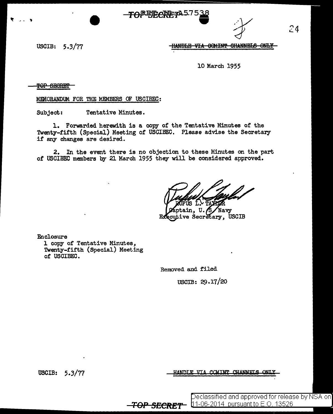**JOD::A57** 



 $24$ 

USCIB:  $5.3/77$ 

HANDLE VIA COMINT CHANNELS ONLY

10 March 1955

TOP SECRET

MEMORANDUM FOR THE MEMBERS OF USCIBEC:

Subject: Tentative Minutes.

1. Forwarded herewith is a copy of the Tentative Minutes of the Twenty-fifth (Special) Meeting of USCIBEC. Please advise the Secretary if any changes are desired.

2. In the event there is no objection to these Minutes on the part of USCIBEC members by 21 March 1955 they will be considered approved.

tain. U./S Navy **Ecutive Secretary, USCIB** Еx

Enclosure 1 copy of Tentative Minutes, Twenty-fifth (Special) Meeting of USCIBEC.

Removed and filed

USCIB: 29.17/20

USCIB: 5.3/77

HANDLE VIL COMINT CHANNELS

Declassified and approved for release by NSA on]  $11-06-2014$  pursuant to E.O. 13526

<del>-TOP SECRET</del>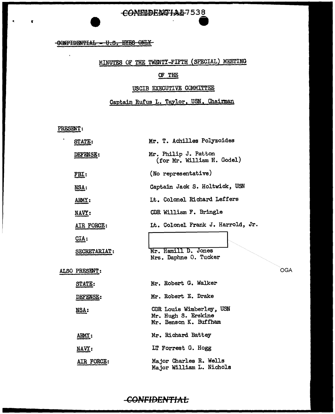### CONNIDENTIAL-7538

### -GONFIDENTIAL - U.S. EYES ONLY

# MINUTES OF THE TWENTY-FIFTH (SPECIAL) MEETING

### OF THE

### USCIB EXECUTIVE COMMITTEE

### Captain Rufus L. Taylor, USN, Chairman

PRESENT:

 $\ddot{\phantom{a}}$ 

 $\bar{1}$ 

ġ

|  | STATE:        | Mr. T. Achilles Polyzoides                                               |
|--|---------------|--------------------------------------------------------------------------|
|  | DEFENSE:      | Mr. Philip J. Patton<br>(for Mr. William H. Godel)                       |
|  | FBI:          | (No representative)                                                      |
|  | NSA:          | Captain Jack S. Holtwick, USN                                            |
|  | ARMY:         | It. Colonel Richard Leffers                                              |
|  | NAVY:         | CDR William F. Bringle                                                   |
|  | AIR FORCE:    | Lt. Colonel Frank J. Harrold, Jr.                                        |
|  | CIA:          |                                                                          |
|  | SECRETARIAT:  | Mr. Hamill D. Jones<br>Mrs. Daphne O. Tucker                             |
|  | ALSO PRESENT: |                                                                          |
|  | <b>STATE:</b> | Mr. Robert G. Walker                                                     |
|  | DEFENSE:      | Mr. Robert E. Drake                                                      |
|  | <u>NSA:</u>   | CDR Louis Wimberley, USN<br>Mr. Hugh S. Erskine<br>Mr. Benson K. Buffham |
|  | ARMY:         | Mr. Richard Battey                                                       |
|  | NAVY:         | LT Forrest G. Hogg                                                       |
|  | AIR FORCE:    | Major Charles R. Wells<br>Major William L. Nichols                       |

OGA

### **CONFIDENTIAL**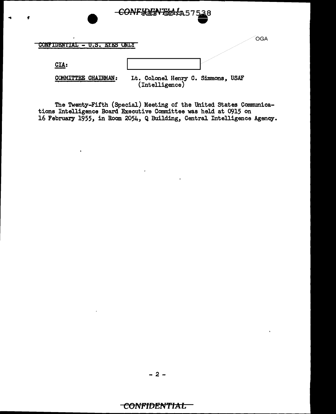| <b>FXF2</b><br>U.S.                  | <b>OGA</b>                                        |
|--------------------------------------|---------------------------------------------------|
| CLA:                                 |                                                   |
| <b>CHAIRMAN:</b><br><b>COMMITTEE</b> | Lt. Colonel Henry C. Simmons, USAF (Intelligence) |

-CONFIDENTIAL 457538

The Twenty-Fifth (Special) Meeting of the United States Communica-<br>tions Intelligence Board Executive Committee was held at 0915 on<br>16 February 1955, in Room 2054, Q Building, Central Intelligence Agency.

 $\mathcal{L}(\mathbf{r})$  and  $\mathcal{L}(\mathbf{r})$  .

## CONFIDENTIAL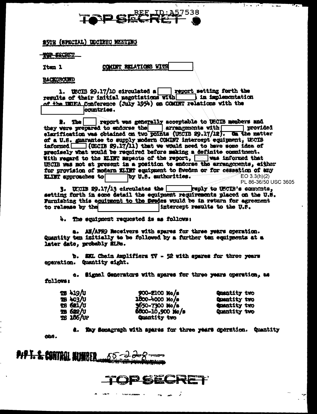

कर कर

 $\overline{1}$ 

25TH (SPECIAL) DECIBEC MEETING

**THE EECRET** 

Item 1

COMUNT RELATIONS WITH

**BACKOROUND** 

1. WECHB 29.17/10 circulated a <u>percept</u> setting forth the results of their initial magnitations with  $\sim$  in implementation of the IMIEA Conference (July 1954) on COMINT relations with the countries.

#. The | report was generally acceptable to USCIB members and they were prepared to endorse the errangements with provided elarification was obtained on two points (USCIB 29.17/12). On the matter of a U.S. guarantee to supply modern COMINT intercept equipment, USCIB informed (USCIB 29,17/11) that we would need to have some idea of precisely what would be required before making a definite commitment. With regard to the ELIFT mapacts of the report, was informed that USCIB was not at present in a position to endorse the arrangements, either for provision of modern KLINT equipment to Sweden or for cessation of any KLINT approaches to by U.S. authorities.  $E$ O 3.3(h)(2) PL 86-36/50 USC 3605

 $3.$  UNCIB 29.17/13 circulates the **Fight** to USCIB's contents, setting forth in some datail the equipment requirements placed on the U.S. Furnishing this equipment to the Swedes would be in return for agreement to release by the intercept results to the U.S.

4. The equipment requested is as follows:

a. AN/APRO Meceivers with spares for three years operation. Quantity ten initially to be followed by a further ten equipeents at a later date, probably SiRe.

b. EKL Chain Amplifiers TV - 52 with spares for three years eperation. Quantity sight.

e. Signal Generators with spares for three years operation, as follows:

| <b>28 419/0</b> | 900-2100 No/s       | Quantity two        |
|-----------------|---------------------|---------------------|
| <b>28 403/0</b> | 1800-4000 мо/е      | Quentity two        |
| 18 621/0        | $$550 - 7300$ Me/s  | <b>Quantity two</b> |
| <b>75 622/U</b> | $600 - 10,900$ Ne/s | Quantity two        |
| 18 186/UP       | Quantity two        |                     |

d. May Sonagraph with spares for three years operation. Quantity che.

PIPT. S. CONTROL BUNKER.  $55 - 20$ 

PSECRET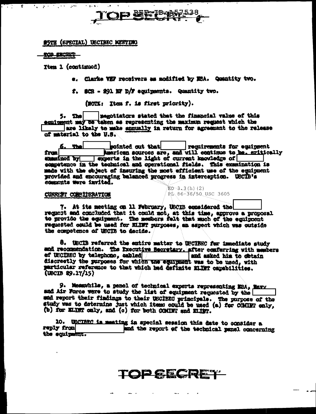

#### **RUTH (SPECIAL) USCIBEC MEETING**

TOP SECRET

الموارد والمراراة

 $\overline{\mathcal{L}}$ 

 $\mathbf{r}$ 

 $\mathcal{L} = \{1, 2, \ldots \}$ 

Ytem 1 (continued)

e. Clarke VEF receivers as modified by MSA. Quantity two.

f. SCR - 291 EF D/F equipments. Quantity two.

(NOTE: Item f. is first priority).

5. The | megotiators stated that the financial value of this equipment may be taken as representing the maximum request which the are likely to make annually in return for agreement to the release of material to the U.S.

cointed out that <u>5. The </u> requirements for equipment from **American sources are, and will continue to be, eritically** summined by **contract in the light of current knowledge** of sompetence in the technical and operational fields. This examination is made with the object of insuring the most efficient use of the equipment provided and encouraging balanced progress in interception. USCIB's comments were invited.

 $EO-3.3(h) (2)$ 

RD 86-36/50 USC 3605

#### CURRENT CONSIDERATION

7. At its meeting on 11 February, USCIB considered the request and concluded that it could not, at this time, approve a proposal to provide the equipment. The members felt that much of the equipment requested could be used for ELINT purposes, an aspect which was outside the compotence of USCIB to decide.

8. UBCIB referred the entire matter to USCIBEC for innediate study and recommendation. The Executive Secretary. after conferring with members ef USCIBEC by telephone, cabled and and asked him to obtain discreetly the purposes for which the equipment was to be used, with particular reference to that which had definite milkr capabilities.  $($ UBCIB 29.17/15 $)$ 

9. Measwhile, a pencl of technical experts representing NRA, Maww and Air Force were to study the list of equipment requested by the and report their findings to their USCIBEC principals. The purpose of the study was to determine just which items could be used (a) for COMINT only, (b) for ELIST only, and (c) for both COMINT and ELIST.

10. USCIREC is meeting in special session this date to consider a reply from and the report of the technical panel concerning the equipment.

**TOP SECRET**